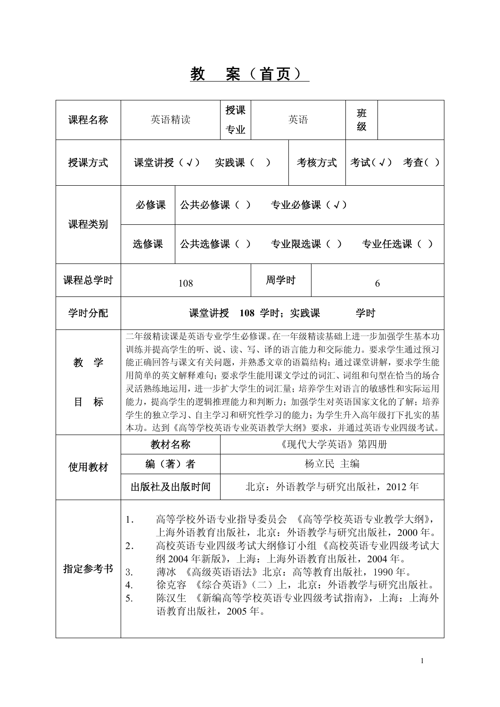## 教 案(首页)

| 课程名称                                                                                                                                                                                                                                                                                                     | 英语精读                                                                                                                                                                                                                                                                                                                                  |                               | 授课<br>英语<br>专业       |                                 | 班<br>级 |          |            |  |          |
|----------------------------------------------------------------------------------------------------------------------------------------------------------------------------------------------------------------------------------------------------------------------------------------------------------|---------------------------------------------------------------------------------------------------------------------------------------------------------------------------------------------------------------------------------------------------------------------------------------------------------------------------------------|-------------------------------|----------------------|---------------------------------|--------|----------|------------|--|----------|
| 授课方式                                                                                                                                                                                                                                                                                                     | 课堂讲授(√)                                                                                                                                                                                                                                                                                                                               | 考核方式<br>实践课(<br>$\rightarrow$ |                      |                                 |        |          | 考试(√) 考査() |  |          |
| 课程类别                                                                                                                                                                                                                                                                                                     | 必修课                                                                                                                                                                                                                                                                                                                                   |                               | 公共必修课( )<br>专业必修课(√) |                                 |        |          |            |  |          |
|                                                                                                                                                                                                                                                                                                          | 选修课                                                                                                                                                                                                                                                                                                                                   | 公共选修课( )                      |                      |                                 |        | 专业限选课( ) |            |  | 专业任选课( ) |
| 课程总学时                                                                                                                                                                                                                                                                                                    |                                                                                                                                                                                                                                                                                                                                       |                               | 周学时                  |                                 |        | 6        |            |  |          |
| 学时分配                                                                                                                                                                                                                                                                                                     | 课堂讲授 108 学时:实践课<br>学时                                                                                                                                                                                                                                                                                                                 |                               |                      |                                 |        |          |            |  |          |
| 教学<br>目<br>标                                                                                                                                                                                                                                                                                             | 二年级精读课是英语专业学生必修课。在一年级精读基础上进一步加强学生基本功<br>训练并提高学生的听、说、读、写、译的语言能力和交际能力。要求学生通过预习<br>能正确回答与课文有关问题,并熟悉文章的语篇结构; 通过课堂讲解, 要求学生能<br>用简单的英文解释难句; 要求学生能用课文学过的词汇、词组和句型在恰当的场合<br>灵活熟练地运用, 进一步扩大学生的词汇量; 培养学生对语言的敏感性和实际运用<br>能力, 提高学生的逻辑推理能力和判断力; 加强学生对英语国家文化的了解; 培养<br>学生的独立学习、自主学习和研究性学习的能力; 为学生升入高年级打下扎实的基<br>本功。达到《高等学校英语专业英语教学大纲》要求,并通过英语专业四级考试。 |                               |                      |                                 |        |          |            |  |          |
|                                                                                                                                                                                                                                                                                                          | 教材名称                                                                                                                                                                                                                                                                                                                                  | 《现代大学英语》第四册                   |                      |                                 |        |          |            |  |          |
| 使用教材                                                                                                                                                                                                                                                                                                     |                                                                                                                                                                                                                                                                                                                                       | 编(著)者<br>出版社及出版时间             |                      | 杨立民 主编<br>北京: 外语教学与研究出版社, 2012年 |        |          |            |  |          |
| 高等学校外语专业指导委员会 《高等学校英语专业教学大纲》,<br>1.<br>上海外语教育出版社, 北京: 外语教学与研究出版社, 2000年。<br>高校英语专业四级考试大纲修订小组《高校英语专业四级考试大<br>2.<br>纲 2004年新版》, 上海: 上海外语教育出版社, 2004年。<br>指定参考书<br>薄冰 《高级英语语法》北京: 高等教育出版社, 1990年。<br>3.<br>徐克容 《综合英语》(二) 上, 北京: 外语教学与研究出版社。<br>4.<br>5.<br>陈汉生 《新编高等学校英语专业四级考试指南》,上海: 上海外<br>语教育出版社, 2005年。 |                                                                                                                                                                                                                                                                                                                                       |                               |                      |                                 |        |          |            |  |          |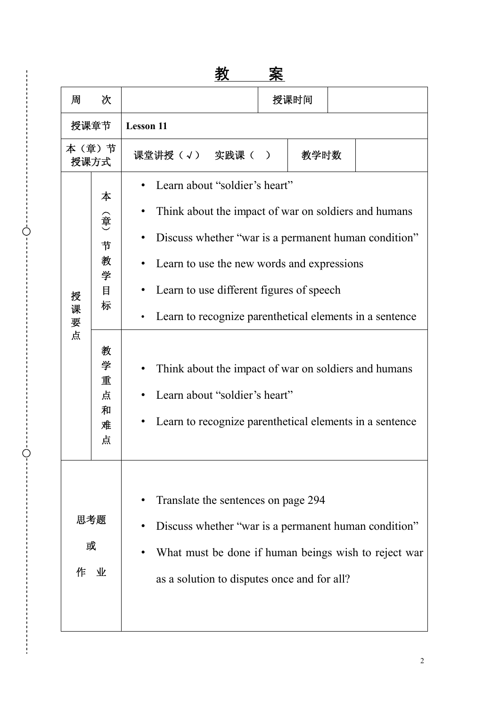# 教 案

| 周                  | 次                                                                    |                                                                                                                                                                                                                                                                                                                                                                                                                                                        |  | 授课时间 |  |  |  |
|--------------------|----------------------------------------------------------------------|--------------------------------------------------------------------------------------------------------------------------------------------------------------------------------------------------------------------------------------------------------------------------------------------------------------------------------------------------------------------------------------------------------------------------------------------------------|--|------|--|--|--|
|                    | 授课章节<br><b>Lesson 11</b>                                             |                                                                                                                                                                                                                                                                                                                                                                                                                                                        |  |      |  |  |  |
| 本(章)节              | 授课方式                                                                 | 课堂讲授(√) 实践课(<br>教学时数<br>$\rightarrow$                                                                                                                                                                                                                                                                                                                                                                                                                  |  |      |  |  |  |
| 授<br>课<br>要<br>点   | 本<br>(章)<br>节<br>教<br>学<br>目<br>标<br>教<br>学<br>重<br>点<br>和<br>难<br>点 | Learn about "soldier's heart"<br>Think about the impact of war on soldiers and humans<br>Discuss whether "war is a permanent human condition"<br>Learn to use the new words and expressions<br>Learn to use different figures of speech<br>Learn to recognize parenthetical elements in a sentence<br>Think about the impact of war on soldiers and humans<br>Learn about "soldier's heart"<br>Learn to recognize parenthetical elements in a sentence |  |      |  |  |  |
| 思考题<br>或<br>作<br>业 |                                                                      | Translate the sentences on page 294<br>Discuss whether "war is a permanent human condition"<br>What must be done if human beings wish to reject war<br>as a solution to disputes once and for all?                                                                                                                                                                                                                                                     |  |      |  |  |  |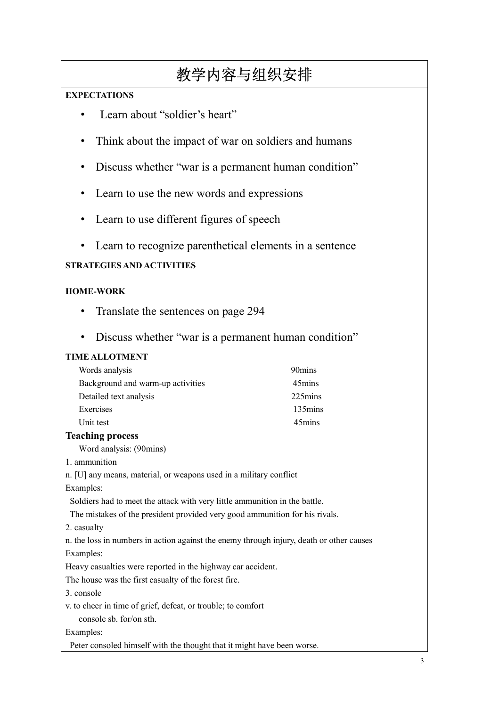# 教学内容与组织安排

## **EXPECTATIONS**

- Learn about "soldier's heart"
- Think about the impact of war on soldiers and humans
- Discuss whether "war is a permanent human condition"
- Learn to use the new words and expressions
- Learn to use different figures of speech
- Learn to recognize parenthetical elements in a sentence

## **STRATEGIES AND ACTIVITIES**

## **HOME-WORK**

- Translate the sentences on page 294
- Discuss whether "war is a permanent human condition"

## **TIME ALLOTMENT**

| Words analysis                    | 90 mins |
|-----------------------------------|---------|
| Background and warm-up activities | 45mins  |
| Detailed text analysis            | 225mins |
| Exercises                         | 135mins |
| Unit test                         | 45mins  |

## **Teaching process**

Word analysis: (90mins)

- 1. ammunition
- n. [U] any means, material, or weapons used in a military conflict

Examples:

Soldiers had to meet the attack with very little ammunition in the battle.

The mistakes of the president provided very good ammunition for his rivals.

2. casualty

n. the loss in numbers in action against the enemy through injury, death or other causes Examples:

Heavy casualties were reported in the highway car accident.

The house was the first casualty of the forest fire.

3. console

v. to cheer in time of grief, defeat, or trouble; to comfort

console sb. for/on sth.

## Examples:

Peter consoled himself with the thought that it might have been worse.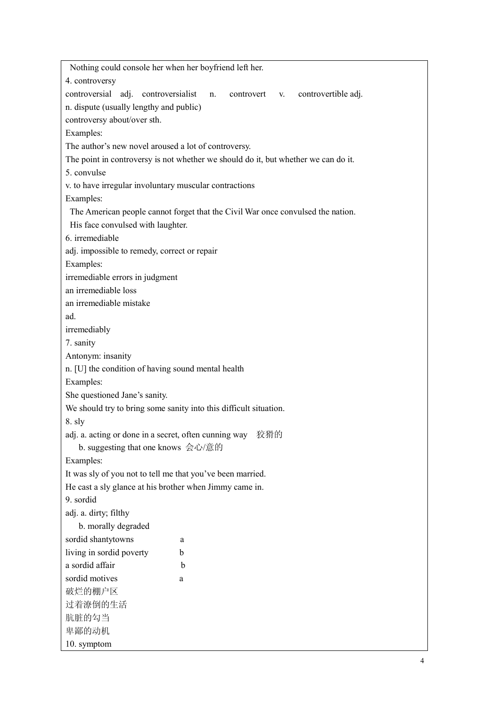| Nothing could console her when her boyfriend left her.                             |
|------------------------------------------------------------------------------------|
| 4. controversy                                                                     |
| controversial adj. controversialist<br>controvertible adj.<br>controvert v.<br>n.  |
| n. dispute (usually lengthy and public)                                            |
| controversy about/over sth.                                                        |
| Examples:                                                                          |
| The author's new novel aroused a lot of controversy.                               |
| The point in controversy is not whether we should do it, but whether we can do it. |
| 5. convulse                                                                        |
| v. to have irregular involuntary muscular contractions                             |
| Examples:                                                                          |
| The American people cannot forget that the Civil War once convulsed the nation.    |
| His face convulsed with laughter.                                                  |
| 6. irremediable                                                                    |
| adj. impossible to remedy, correct or repair                                       |
| Examples:                                                                          |
| irremediable errors in judgment                                                    |
| an irremediable loss                                                               |
| an irremediable mistake                                                            |
| ad.                                                                                |
| irremediably                                                                       |
| 7. sanity                                                                          |
| Antonym: insanity                                                                  |
| n. [U] the condition of having sound mental health                                 |
| Examples:                                                                          |
| She questioned Jane's sanity.                                                      |
| We should try to bring some sanity into this difficult situation.                  |
| 8. sly                                                                             |
| adj. a. acting or done in a secret, often cunning way<br>狡猾的                       |
| b. suggesting that one knows 会心/意的                                                 |
| Examples:                                                                          |
| It was sly of you not to tell me that you've been married.                         |
| He cast a sly glance at his brother when Jimmy came in.                            |
| 9. sordid                                                                          |
| adj. a. dirty; filthy                                                              |
| b. morally degraded                                                                |
| sordid shantytowns<br>a                                                            |
| living in sordid poverty<br>b                                                      |
| a sordid affair<br>b                                                               |
| sordid motives<br>a                                                                |
| 破烂的棚户区                                                                             |
| 过着潦倒的生活                                                                            |
| 肮脏的勾当                                                                              |
| 卑鄙的动机                                                                              |
| 10. symptom                                                                        |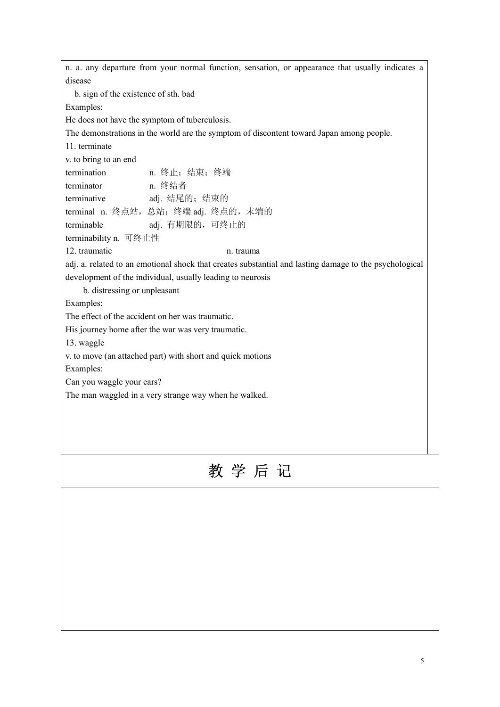n. a. any departure from your normal function, sensation, or appearance that usually indicates a disease b. sign of the existence of sth. bad Examples: He does not have the symptom of tuberculosis. The demonstrations in the world are the symptom of discontent toward Japan among people. 11. terminate v. to bring to an end termination n. 终止;结束;终端 terminator n. 终结者 terminative adj. 结尾的;结束的 terminal n. 终点站, 总站; 终端 adj. 终点的, 末端的 terminable adj. 有期限的,可终止的 terminability n. 可终止性 12. traumatic n. trauma adj. a. related to an emotional shock that creates substantial and lasting damage to the psychological development of the individual, usually leading to neurosis b. distressing or unpleasant Examples: The effect of the accident on her was traumatic. His journey home after the war was very traumatic. 13. waggle v. to move (an attached part) with short and quick motions Examples: Can you waggle your ears? The man waggled in a very strange way when he walked. 教 学 后 记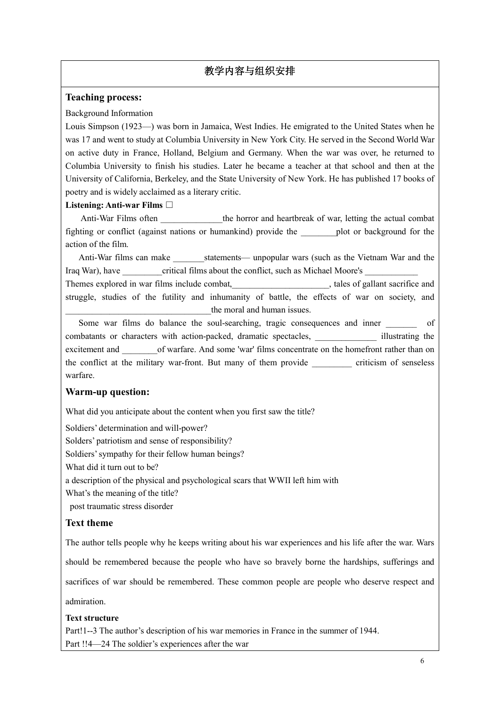## 教学内容与组织安排

#### **Teaching process:**

#### Background Information

Louis Simpson (1923—) was born in Jamaica, West Indies. He emigrated to the United States when he was 17 and went to study at Columbia University in New York City. He served in the Second World War on active duty in France, Holland, Belgium and Germany. When the war was over, he returned to Columbia University to finish his studies. Later he became a teacher at that school and then at the University of California, Berkeley, and the State University of New York. He has published 17 books of poetry and is widely acclaimed as a literary critic.

#### **Listening: Anti-war Films**

Anti-War Films often the horror and heartbreak of war, letting the actual combat fighting or conflict (against nations or humankind) provide the \_\_\_\_\_\_\_\_plot or background for the action of the film.

Anti-War films can make statements— unpopular wars (such as the Vietnam War and the Iraq War), have critical films about the conflict, such as Michael Moore's

Themes explored in war films include combat, the state of gallant sacrifice and struggle, studies of the futility and inhumanity of battle, the effects of war on society, and the moral and human issues.

Some war films do balance the soul-searching, tragic consequences and inner of combatants or characters with action-packed, dramatic spectacles, \_\_\_\_\_\_\_\_\_\_\_\_\_\_ illustrating the excitement and  $\qquad$  of warfare. And some 'war' films concentrate on the homefront rather than on the conflict at the military war-front. But many of them provide criticism of senseless warfare.

## **Warm-up question:**

What did you anticipate about the content when you first saw the title?

Soldiers' determination and will-power?

Solders' patriotism and sense of responsibility?

Soldiers' sympathy for their fellow human beings?

What did it turn out to be?

a description of the physical and psychological scars that WWII left him with

What's the meaning of the title?

post traumatic stress disorder

## **Text theme**

The author tells people why he keeps writing about his war experiences and his life after the war. Wars

should be remembered because the people who have so bravely borne the hardships, sufferings and

sacrifices of war should be remembered. These common people are people who deserve respect and

admiration.

## **Text structure**

Part!1--3 The author's description of his war memories in France in the summer of 1944. Part !!4—24 The soldier's experiences after the war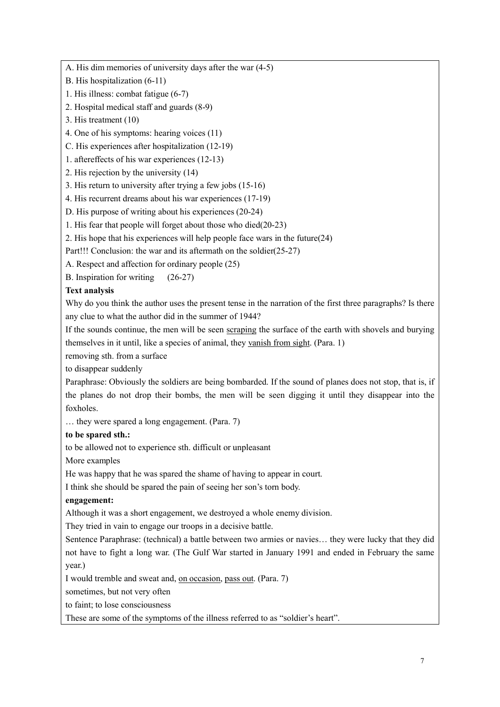A. His dim memories of university days after the war (4-5)

- B. His hospitalization (6-11)
- 1. His illness: combat fatigue (6-7)
- 2. Hospital medical staff and guards (8-9)
- 3. His treatment (10)
- 4. One of his symptoms: hearing voices (11)
- C. His experiences after hospitalization (12-19)
- 1. aftereffects of his war experiences (12-13)
- 2. His rejection by the university (14)
- 3. His return to university after trying a few jobs (15-16)
- 4. His recurrent dreams about his war experiences (17-19)
- D. His purpose of writing about his experiences (20-24)
- 1. His fear that people will forget about those who died(20-23)
- 2. His hope that his experiences will help people face wars in the future(24)
- Part!!! Conclusion: the war and its aftermath on the soldier(25-27)
- A. Respect and affection for ordinary people (25)
- B. Inspiration for writing (26-27)

#### **Text analysis**

Why do you think the author uses the present tense in the narration of the first three paragraphs? Is there any clue to what the author did in the summer of 1944?

If the sounds continue, the men will be seen scraping the surface of the earth with shovels and burying themselves in it until, like a species of animal, they vanish from sight. (Para. 1)

removing sth. from a surface

to disappear suddenly

Paraphrase: Obviously the soldiers are being bombarded. If the sound of planes does not stop, that is, if the planes do not drop their bombs, the men will be seen digging it until they disappear into the foxholes.

… they were spared a long engagement. (Para. 7)

#### **to be spared sth.:**

to be allowed not to experience sth. difficult or unpleasant

More examples

He was happy that he was spared the shame of having to appear in court.

I think she should be spared the pain of seeing her son's torn body.

#### **engagement:**

Although it was a short engagement, we destroyed a whole enemy division.

They tried in vain to engage our troops in a decisive battle.

Sentence Paraphrase: (technical) a battle between two armies or navies… they were lucky that they did not have to fight a long war. (The Gulf War started in January 1991 and ended in February the same year.)

I would tremble and sweat and, on occasion, pass out. (Para. 7)

sometimes, but not very often

to faint; to lose consciousness

These are some of the symptoms of the illness referred to as "soldier's heart".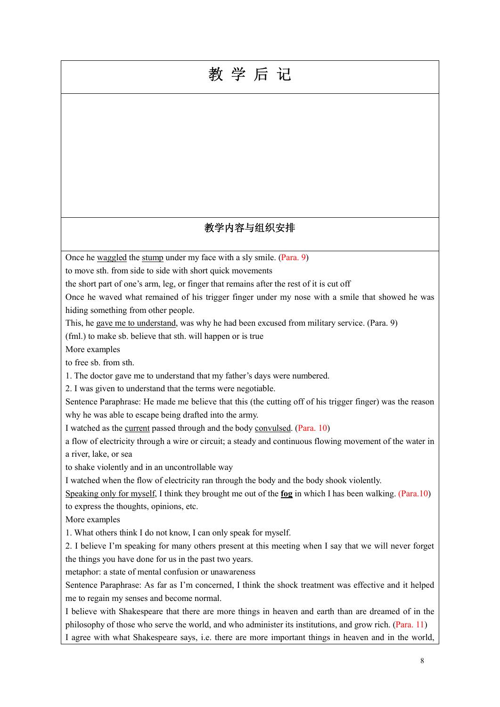# 教 学 后 记

## 教学内容与组织安排

Once he waggled the stump under my face with a sly smile. (Para. 9)

to move sth. from side to side with short quick movements

the short part of one's arm, leg, or finger that remains after the rest of it is cut off

Once he waved what remained of his trigger finger under my nose with a smile that showed he was hiding something from other people.

This, he gave me to understand, was why he had been excused from military service. (Para. 9)

(fml.) to make sb. believe that sth. will happen or is true

More examples

to free sb. from sth.

1. The doctor gave me to understand that my father's days were numbered.

2. I was given to understand that the terms were negotiable.

Sentence Paraphrase: He made me believe that this (the cutting off of his trigger finger) was the reason why he was able to escape being drafted into the army.

I watched as the current passed through and the body convulsed. (Para. 10)

a flow of electricity through a wire or circuit; a steady and continuous flowing movement of the water in a river, lake, or sea

to shake violently and in an uncontrollable way

I watched when the flow of electricity ran through the body and the body shook violently.

Speaking only for myself, I think they brought me out of the **fog** in which I has been walking. (Para.10) to express the thoughts, opinions, etc.

More examples

1. What others think I do not know, I can only speak for myself.

2. I believe I'm speaking for many others present at this meeting when I say that we will never forget the things you have done for us in the past two years.

metaphor: a state of mental confusion or unawareness

Sentence Paraphrase: As far as I'm concerned, I think the shock treatment was effective and it helped me to regain my senses and become normal.

I believe with Shakespeare that there are more things in heaven and earth than are dreamed of in the philosophy of those who serve the world, and who administer its institutions, and grow rich. (Para. 11) I agree with what Shakespeare says, i.e. there are more important things in heaven and in the world,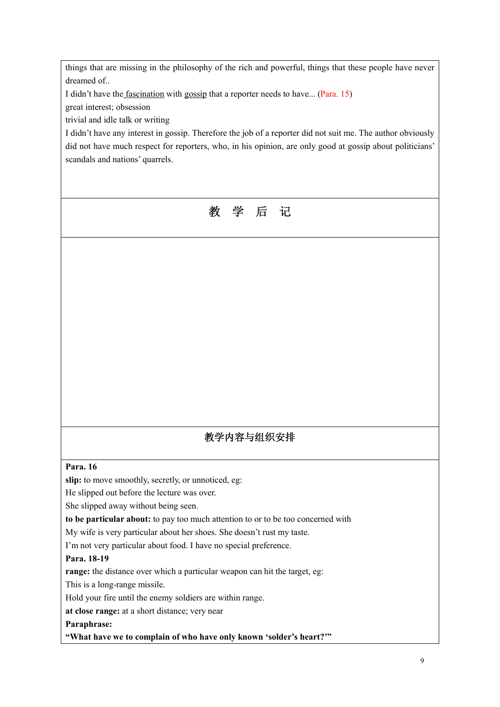things that are missing in the philosophy of the rich and powerful, things that these people have never dreamed of..

I didn't have the fascination with gossip that a reporter needs to have... (Para. 15)

great interest; obsession

trivial and idle talk or writing

I didn't have any interest in gossip. Therefore the job of a reporter did not suit me. The author obviously did not have much respect for reporters, who, in his opinion, are only good at gossip about politicians' scandals and nations' quarrels.



## 教学内容与组织安排

#### **Para. 16**

slip: to move smoothly, secretly, or unnoticed, eg:

He slipped out before the lecture was over.

She slipped away without being seen.

**to be particular about:** to pay too much attention to or to be too concerned with

My wife is very particular about her shoes. She doesn't rust my taste.

I'm not very particular about food. I have no special preference.

#### **Para. 18-19**

**range:** the distance over which a particular weapon can hit the target, eg:

This is a long-range missile.

Hold your fire until the enemy soldiers are within range.

**at close range:** at a short distance; very near

**Paraphrase:** 

**"What have we to complain of who have only known 'solder's heart?'"**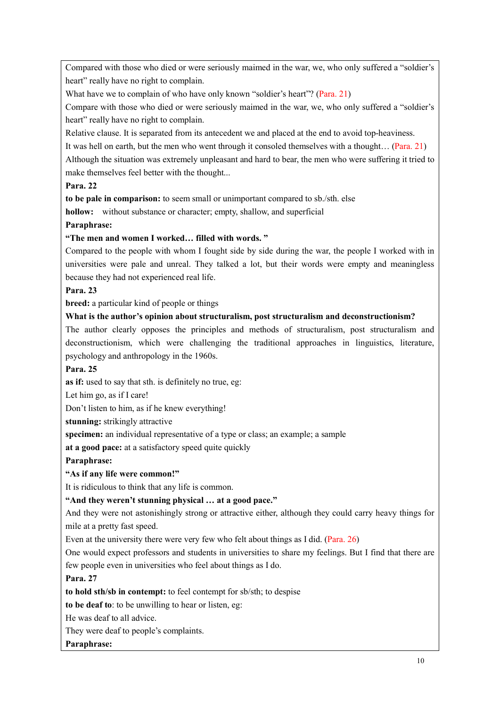Compared with those who died or were seriously maimed in the war, we, who only suffered a "soldier's heart" really have no right to complain.

What have we to complain of who have only known "soldier's heart"? (Para. 21)

Compare with those who died or were seriously maimed in the war, we, who only suffered a "soldier's heart" really have no right to complain.

Relative clause. It is separated from its antecedent we and placed at the end to avoid top-heaviness.

It was hell on earth, but the men who went through it consoled themselves with a thought… (Para. 21)

Although the situation was extremely unpleasant and hard to bear, the men who were suffering it tried to make themselves feel better with the thought...

#### **Para. 22**

**to be pale in comparison:** to seem small or unimportant compared to sb./sth. else

**hollow:** without substance or character; empty, shallow, and superficial

#### **Paraphrase:**

#### **"The men and women I worked… filled with words. "**

Compared to the people with whom I fought side by side during the war, the people I worked with in universities were pale and unreal. They talked a lot, but their words were empty and meaningless because they had not experienced real life.

#### **Para. 23**

**breed:** a particular kind of people or things

#### **What is the author's opinion about structuralism, post structuralism and deconstructionism?**

The author clearly opposes the principles and methods of structuralism, post structuralism and deconstructionism, which were challenging the traditional approaches in linguistics, literature, psychology and anthropology in the 1960s.

#### **Para. 25**

**as if:** used to say that sth. is definitely no true, eg:

Let him go, as if I care!

Don't listen to him, as if he knew everything!

**stunning:** strikingly attractive

**specimen:** an individual representative of a type or class; an example; a sample

**at a good pace:** at a satisfactory speed quite quickly

**Paraphrase:** 

#### **"As if any life were common!"**

It is ridiculous to think that any life is common.

#### **"And they weren't stunning physical … at a good pace."**

And they were not astonishingly strong or attractive either, although they could carry heavy things for mile at a pretty fast speed.

Even at the university there were very few who felt about things as I did. (Para. 26)

One would expect professors and students in universities to share my feelings. But I find that there are few people even in universities who feel about things as I do.

#### **Para. 27**

**to hold sth/sb in contempt:** to feel contempt for sb/sth; to despise

**to be deaf to**: to be unwilling to hear or listen, eg:

He was deaf to all advice.

They were deaf to people's complaints.

**Paraphrase:**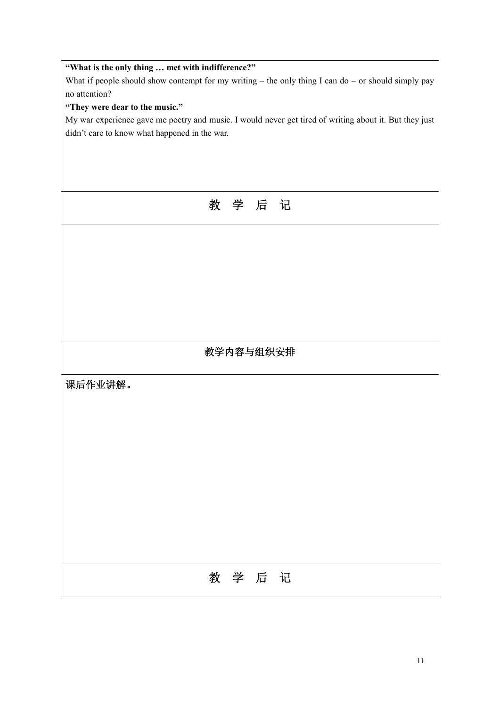| "What is the only thing  met with indifference?"                                                        |  |  |  |
|---------------------------------------------------------------------------------------------------------|--|--|--|
| What if people should show contempt for my writing $-$ the only thing I can do $-$ or should simply pay |  |  |  |
| no attention?                                                                                           |  |  |  |
| "They were dear to the music."                                                                          |  |  |  |
| My war experience gave me poetry and music. I would never get tired of writing about it. But they just  |  |  |  |
| didn't care to know what happened in the war.                                                           |  |  |  |
|                                                                                                         |  |  |  |
|                                                                                                         |  |  |  |
|                                                                                                         |  |  |  |
|                                                                                                         |  |  |  |
| 教学后记                                                                                                    |  |  |  |
|                                                                                                         |  |  |  |
|                                                                                                         |  |  |  |
|                                                                                                         |  |  |  |
|                                                                                                         |  |  |  |
|                                                                                                         |  |  |  |
|                                                                                                         |  |  |  |
|                                                                                                         |  |  |  |
|                                                                                                         |  |  |  |
|                                                                                                         |  |  |  |
|                                                                                                         |  |  |  |
| 教学内容与组织安排                                                                                               |  |  |  |
|                                                                                                         |  |  |  |
|                                                                                                         |  |  |  |
| 课后作业讲解。                                                                                                 |  |  |  |
|                                                                                                         |  |  |  |
|                                                                                                         |  |  |  |
|                                                                                                         |  |  |  |
|                                                                                                         |  |  |  |
|                                                                                                         |  |  |  |
|                                                                                                         |  |  |  |
|                                                                                                         |  |  |  |
|                                                                                                         |  |  |  |
|                                                                                                         |  |  |  |
|                                                                                                         |  |  |  |
|                                                                                                         |  |  |  |
|                                                                                                         |  |  |  |
|                                                                                                         |  |  |  |
| 教学后记                                                                                                    |  |  |  |
|                                                                                                         |  |  |  |